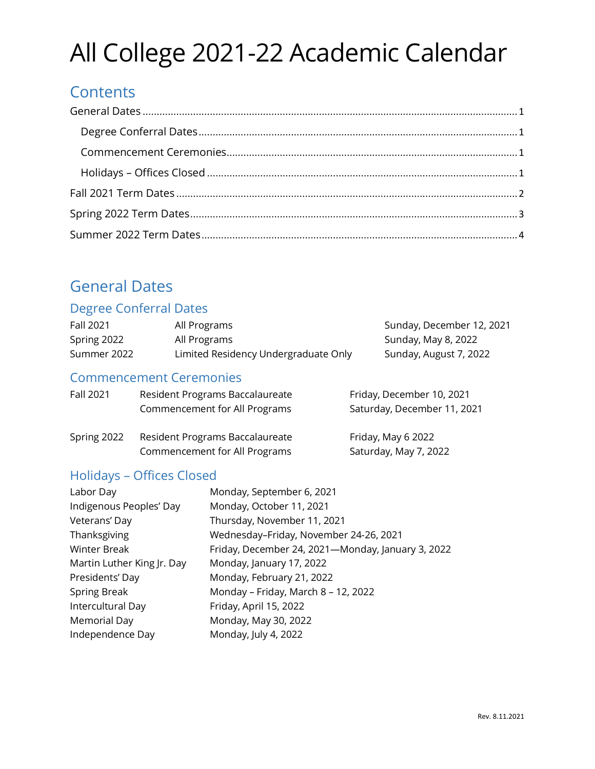# All College 2021-22 Academic Calendar

### **Contents**

### <span id="page-0-0"></span>General Dates

### <span id="page-0-1"></span>Degree Conferral Dates

| <b>Fall 2021</b> | All Programs                         | Sunday, December 12, 2021 |
|------------------|--------------------------------------|---------------------------|
| Spring 2022      | All Programs                         | Sunday, May 8, 2022       |
| Summer 2022      | Limited Residency Undergraduate Only | Sunday, August 7, 2022    |

### <span id="page-0-2"></span>Commencement Ceremonies

| <b>Fall 2021</b> | Resident Programs Baccalaureate<br>Commencement for All Programs | Friday, December 10, 2021<br>Saturday, December 11, 2021 |
|------------------|------------------------------------------------------------------|----------------------------------------------------------|
| Spring 2022      | Resident Programs Baccalaureate                                  | Friday, May 6 2022                                       |

Commencement for All Programs Saturday, May 7, 2022

### <span id="page-0-3"></span>Holidays – Offices Closed

| Monday, September 6, 2021                         |
|---------------------------------------------------|
| Monday, October 11, 2021                          |
| Thursday, November 11, 2021                       |
| Wednesday-Friday, November 24-26, 2021            |
| Friday, December 24, 2021-Monday, January 3, 2022 |
| Monday, January 17, 2022                          |
| Monday, February 21, 2022                         |
| Monday - Friday, March 8 - 12, 2022               |
| Friday, April 15, 2022                            |
| Monday, May 30, 2022                              |
| Monday, July 4, 2022                              |
|                                                   |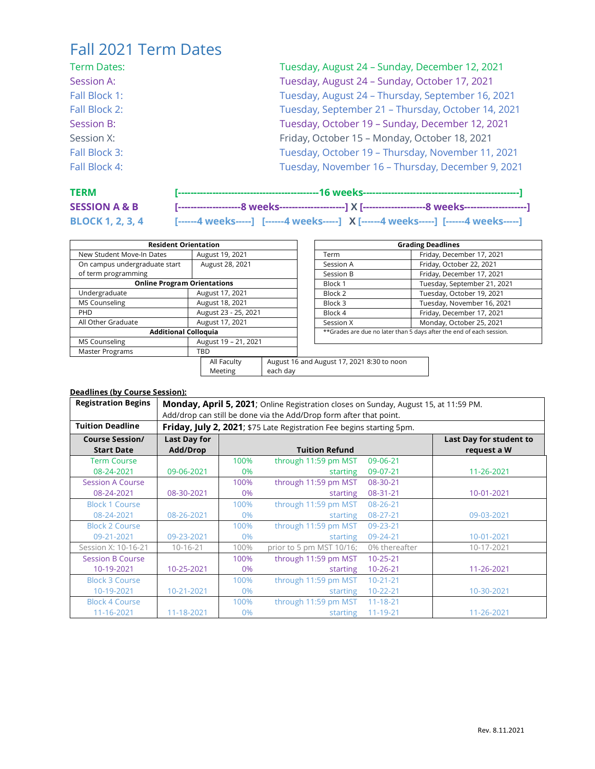## <span id="page-1-0"></span>Fall 2021 Term Dates

| <b>Term Dates:</b> | Tuesday, August 24 - Sunday, December 12, 2021     |
|--------------------|----------------------------------------------------|
| Session A:         | Tuesday, August 24 - Sunday, October 17, 2021      |
| Fall Block 1:      | Tuesday, August 24 - Thursday, September 16, 2021  |
| Fall Block 2:      | Tuesday, September 21 - Thursday, October 14, 2021 |
| Session B:         | Tuesday, October 19 - Sunday, December 12, 2021    |
| Session X:         | Friday, October 15 - Monday, October 18, 2021      |
| Fall Block 3:      | Tuesday, October 19 - Thursday, November 11, 2021  |
| Fall Block 4:      | Tuesday, November 16 - Thursday, December 9, 2021  |

**TERM [---------------------------------------------16 weeks--------------------------------------------------] SESSION A & B [--------------------8 weeks---------------------] X [--------------------8 weeks--------------------] BLOCK 1, 2, 3, 4 [------4 weeks-----] [------4 weeks-----] X [------4 weeks-----] [------4 weeks-----]**

| <b>Resident Orientation</b>        |                      |          |                                            | <b>Grading Deadlines</b>                                             |
|------------------------------------|----------------------|----------|--------------------------------------------|----------------------------------------------------------------------|
| New Student Move-In Dates          | August 19, 2021      |          | Term                                       | Friday, December 17, 2021                                            |
| On campus undergraduate start      | August 28, 2021      |          | Session A                                  | Friday, October 22, 2021                                             |
| of term programming                |                      |          | Session B                                  | Friday, December 17, 2021                                            |
| <b>Online Program Orientations</b> |                      |          | Block 1                                    | Tuesday, September 21, 2021                                          |
| Undergraduate                      | August 17, 2021      |          | Block 2                                    | Tuesday, October 19, 2021                                            |
| MS Counseling                      | August 18, 2021      |          | Block 3                                    | Tuesday, November 16, 2021                                           |
| PHD                                | August 23 - 25, 2021 |          | Block 4                                    | Friday, December 17, 2021                                            |
| All Other Graduate                 | August 17, 2021      |          | Session X                                  | Monday, October 25, 2021                                             |
| <b>Additional Colloquia</b>        |                      |          |                                            | **Grades are due no later than 5 days after the end of each session. |
| MS Counseling                      | August 19 - 21, 2021 |          |                                            |                                                                      |
| <b>Master Programs</b>             | TBD                  |          |                                            |                                                                      |
|                                    | All Faculty          |          | August 16 and August 17, 2021 8:30 to noon |                                                                      |
|                                    | Meeting              | each day |                                            |                                                                      |

### **Deadlines (by Course Session):**

<span id="page-1-1"></span>

| <b>Registration Begins</b> | Monday, April 5, 2021; Online Registration closes on Sunday, August 15, at 11:59 PM. |                         |                                                                              |                |             |
|----------------------------|--------------------------------------------------------------------------------------|-------------------------|------------------------------------------------------------------------------|----------------|-------------|
|                            | Add/drop can still be done via the Add/Drop form after that point.                   |                         |                                                                              |                |             |
| <b>Tuition Deadline</b>    |                                                                                      |                         | <b>Friday, July 2, 2021;</b> \$75 Late Registration Fee begins starting 5pm. |                |             |
| <b>Course Session/</b>     | <b>Last Day for</b>                                                                  | Last Day for student to |                                                                              |                |             |
| <b>Start Date</b>          | Add/Drop                                                                             |                         | <b>Tuition Refund</b>                                                        |                | request a W |
| <b>Term Course</b>         |                                                                                      | 100%                    | through 11:59 pm MST                                                         | 09-06-21       |             |
| 08-24-2021                 | 09-06-2021                                                                           | 0%                      | starting                                                                     | 09-07-21       | 11-26-2021  |
| <b>Session A Course</b>    |                                                                                      | 100%                    | through 11:59 pm MST                                                         | 08-30-21       |             |
| 08-24-2021                 | 08-30-2021                                                                           | 0%                      | starting                                                                     | 08-31-21       | 10-01-2021  |
| <b>Block 1 Course</b>      |                                                                                      | 100%                    | through 11:59 pm MST                                                         | $08 - 26 - 21$ |             |
| 08-24-2021                 | 08-26-2021                                                                           | 0%                      | starting                                                                     | 08-27-21       | 09-03-2021  |
| <b>Block 2 Course</b>      |                                                                                      | 100%                    | through 11:59 pm MST                                                         | 09-23-21       |             |
| 09-21-2021                 | 09-23-2021                                                                           | 0%                      | starting                                                                     | 09-24-21       | 10-01-2021  |
| Session X: 10-16-21        | $10 - 16 - 21$                                                                       | 100%                    | prior to 5 pm MST 10/16;                                                     | 0% thereafter  | 10-17-2021  |
| <b>Session B Course</b>    |                                                                                      | 100%                    | through 11:59 pm MST                                                         | 10-25-21       |             |
| 10-19-2021                 | 10-25-2021                                                                           | 0%                      | starting                                                                     | 10-26-21       | 11-26-2021  |
| <b>Block 3 Course</b>      |                                                                                      | 100%                    | through 11:59 pm MST                                                         | $10 - 21 - 21$ |             |
| 10-19-2021                 | 10-21-2021                                                                           | 0%                      | starting                                                                     | $10 - 22 - 21$ | 10-30-2021  |
| <b>Block 4 Course</b>      |                                                                                      | 100%                    | through 11:59 pm MST                                                         | $11 - 18 - 21$ |             |
| 11-16-2021                 | 11-18-2021                                                                           | 0%                      | starting                                                                     | $11 - 19 - 21$ | 11-26-2021  |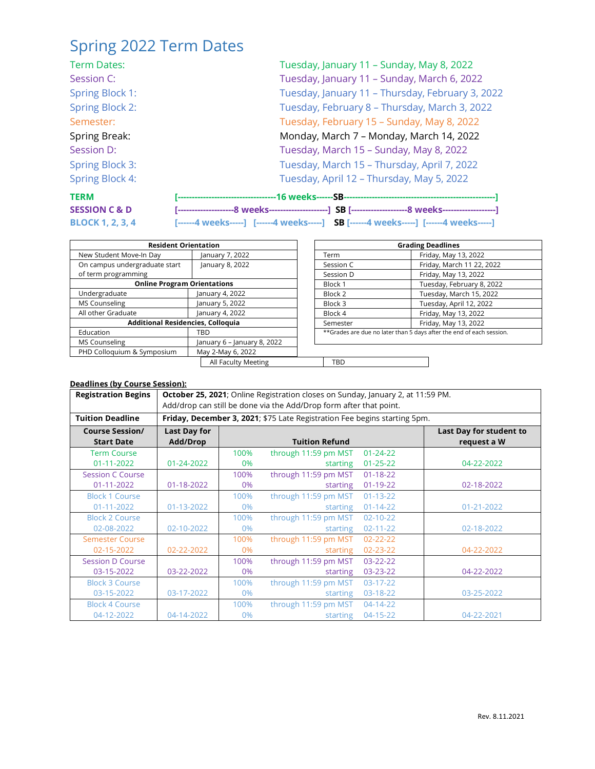# Spring 2022 Term Dates

| <b>Term Dates:</b>     | Tuesday, January 11 - Sunday, May 8, 2022        |
|------------------------|--------------------------------------------------|
| Session C:             | Tuesday, January 11 - Sunday, March 6, 2022      |
| <b>Spring Block 1:</b> | Tuesday, January 11 - Thursday, February 3, 2022 |
| <b>Spring Block 2:</b> | Tuesday, February 8 - Thursday, March 3, 2022    |
| Semester:              | Tuesday, February 15 - Sunday, May 8, 2022       |
| Spring Break:          | Monday, March 7 - Monday, March 14, 2022         |
| Session D:             | Tuesday, March 15 - Sunday, May 8, 2022          |
| <b>Spring Block 3:</b> | Tuesday, March 15 - Thursday, April 7, 2022      |
| <b>Spring Block 4:</b> | Tuesday, April 12 - Thursday, May 5, 2022        |
| <b>TERM</b>            | -16 weeks------SB-                               |

**SESSION C & D [--------------------8 weeks---------------------] SB [--------------------8 weeks-------------------] BLOCK 1, 2, 3, 4 [------4 weeks-----] [------4 weeks-----] SB [------4 weeks-----] [------4 weeks-----]**

| <b>Resident Orientation</b>        |                             |           | <b>Grading Deadlines</b>                                             |
|------------------------------------|-----------------------------|-----------|----------------------------------------------------------------------|
| New Student Move-In Day            | January 7, 2022             | Term      | Friday, May 13, 2022                                                 |
| On campus undergraduate start      | January 8, 2022             | Session C | Friday, March 11 22, 2022                                            |
| of term programming                |                             | Session D | Friday, May 13, 2022                                                 |
| <b>Online Program Orientations</b> |                             | Block 1   | Tuesday, February 8, 2022                                            |
| Undergraduate                      | January 4, 2022             | Block 2   | Tuesday, March 15, 2022                                              |
| MS Counseling                      | January 5, 2022             | Block 3   | Tuesday, April 12, 2022                                              |
| All other Graduate                 | January 4, 2022             | Block 4   | Friday, May 13, 2022                                                 |
| Additional Residencies, Colloquia  |                             | Semester  | Friday, May 13, 2022                                                 |
| Education                          | TBD                         |           | **Grades are due no later than 5 days after the end of each session. |
| MS Counseling                      | January 6 - January 8, 2022 |           |                                                                      |
| PHD Colloquium & Symposium         | May 2-May 6, 2022           |           |                                                                      |
|                                    | All Faculty Meeting         | TBD       |                                                                      |

### **Deadlines (by Course Session):**

| <b>Registration Begins</b> | <b>October 25, 2021</b> ; Online Registration closes on Sunday, January 2, at 11:59 PM. |      |                                                                           |                |                         |
|----------------------------|-----------------------------------------------------------------------------------------|------|---------------------------------------------------------------------------|----------------|-------------------------|
|                            | Add/drop can still be done via the Add/Drop form after that point.                      |      |                                                                           |                |                         |
| <b>Tuition Deadline</b>    |                                                                                         |      | Friday, December 3, 2021; \$75 Late Registration Fee begins starting 5pm. |                |                         |
| <b>Course Session/</b>     | <b>Last Day for</b>                                                                     |      |                                                                           |                | Last Day for student to |
| <b>Start Date</b>          | Add/Drop                                                                                |      | <b>Tuition Refund</b>                                                     |                | request a W             |
| <b>Term Course</b>         |                                                                                         | 100% | through 11:59 pm MST                                                      | $01 - 24 - 22$ |                         |
| 01-11-2022                 | 01-24-2022                                                                              | 0%   | starting                                                                  | $01 - 25 - 22$ | 04-22-2022              |
| <b>Session C Course</b>    |                                                                                         | 100% | through 11:59 pm MST                                                      | $01 - 18 - 22$ |                         |
| 01-11-2022                 | 01-18-2022                                                                              | 0%   | starting                                                                  | $01 - 19 - 22$ | 02-18-2022              |
| <b>Block 1 Course</b>      |                                                                                         | 100% | through 11:59 pm MST                                                      | $01 - 13 - 22$ |                         |
| $01 - 11 - 2022$           | 01-13-2022                                                                              | 0%   | starting                                                                  | $01 - 14 - 22$ | $01 - 21 - 2022$        |
| <b>Block 2 Course</b>      |                                                                                         | 100% | through 11:59 pm MST                                                      | $02 - 10 - 22$ |                         |
| 02-08-2022                 | 02-10-2022                                                                              | 0%   | starting                                                                  | $02 - 11 - 22$ | 02-18-2022              |
| <b>Semester Course</b>     |                                                                                         | 100% | through 11:59 pm MST                                                      | $02 - 22 - 22$ |                         |
| 02-15-2022                 | 02-22-2022                                                                              | 0%   | starting                                                                  | 02-23-22       | 04-22-2022              |
| <b>Session D Course</b>    |                                                                                         | 100% | through 11:59 pm MST                                                      | $03 - 22 - 22$ |                         |
| 03-15-2022                 | 03-22-2022                                                                              | 0%   | starting                                                                  | $03 - 23 - 22$ | 04-22-2022              |
| <b>Block 3 Course</b>      |                                                                                         | 100% | through 11:59 pm MST                                                      | $03-17-22$     |                         |
| 03-15-2022                 | 03-17-2022                                                                              | 0%   | starting                                                                  | $03-18-22$     | 03-25-2022              |
| <b>Block 4 Course</b>      |                                                                                         | 100% | through 11:59 pm MST                                                      | 04-14-22       |                         |
| 04-12-2022                 | 04-14-2022                                                                              | 0%   | starting                                                                  | $04 - 15 - 22$ | 04-22-2021              |